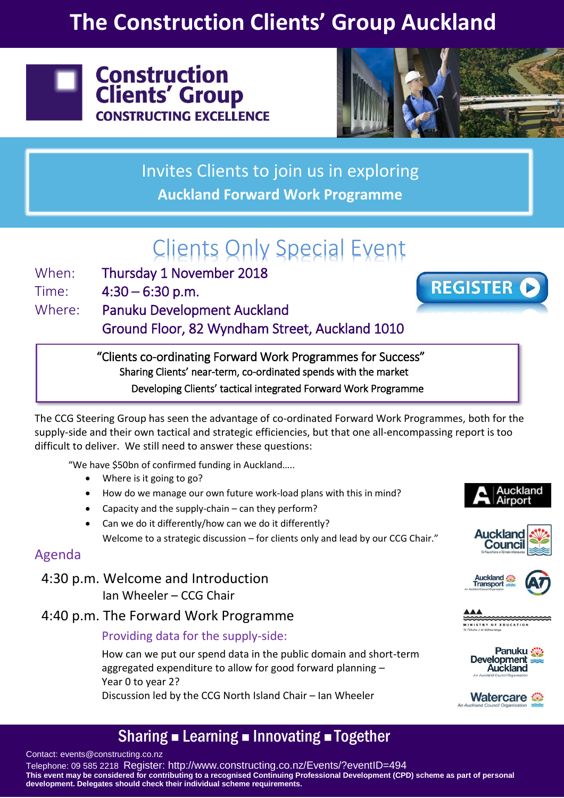# **The Construction Clients' Group Auckland**





Invites Clients to join us in exploring **Auckland Forward Work Programme**

# Clients Only Special Event

When: Thursday 1 November 2018

Time:  $4:30 - 6:30$  p.m.

Where: Panuku Development Auckland

Ground Floor, 82 Wyndham Street, Auckland 1010

"Clients co-ordinating Forward Work Programmes for Success" Sharing Clients' near-term, co-ordinated spends with the market Developing Clients' tactical integrated Forward Work Programme

The CCG Steering Group has seen the advantage of co-ordinated Forward Work Programmes, both for the supply-side and their own tactical and strategic efficiencies, but that one all-encompassing report is too difficult to deliver. We still need to answer these questions:

"We have \$50bn of confirmed funding in Auckland…..

- Where is it going to go?
- How do we manage our own future work-load plans with this in mind?
- Capacity and the supply-chain can they perform?
- Can we do it differently/how can we do it differently? Welcome to a strategic discussion – for clients only and lead by our CCG Chair."

## Agenda

4:30 p.m. Welcome and Introduction Ian Wheeler – CCG Chair

### 4:40 p.m. The Forward Work Programme

### Providing data for the supply-side:

How can we put our spend data in the public domain and short-term aggregated expenditure to allow for good forward planning – Year 0 to year 2? Discussion led by the CCG North Island Chair – Ian Wheeler

#### Auckland Airport

**REGISTER C** 





STRY OF EDUCATIO





## Sharing ■ Learning ■ Innovating ■ Together

Contact: events@constructing.co.nz

Telephone: 09 585 2218 Register: http://www.constructing.co.nz/Events/?eventID=494 **This event may be considered for contributing to a recognised Continuing Professional Development (CPD) scheme as part of personal development. Delegates should check their individual scheme requirements.**